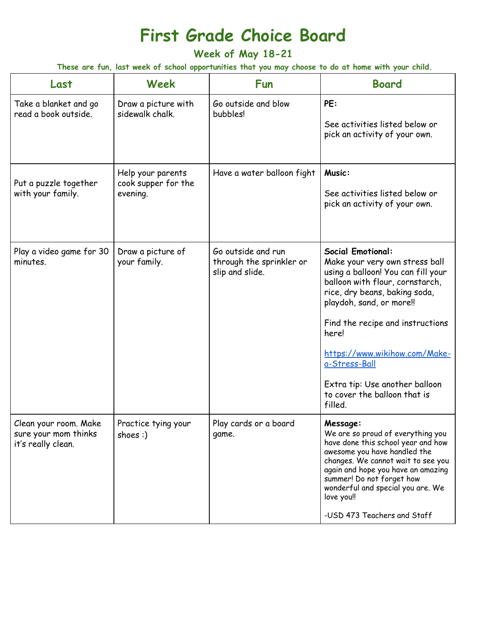## **First Grade Choice Board**

**Week of May 18-21**

These are fun, last week of school opportunities that you may choose to do at home with your child.

| Last                                                                | Week                                                 | <b>Fun</b>                                                        | <b>Board</b>                                                                                                                                                                                                                                                                                                                                                                 |
|---------------------------------------------------------------------|------------------------------------------------------|-------------------------------------------------------------------|------------------------------------------------------------------------------------------------------------------------------------------------------------------------------------------------------------------------------------------------------------------------------------------------------------------------------------------------------------------------------|
| Take a blanket and go<br>read a book outside.                       | Draw a picture with<br>sidewalk chalk.               | Go outside and blow<br>bubbles!                                   | PE:<br>See activities listed below or<br>pick an activity of your own.                                                                                                                                                                                                                                                                                                       |
| Put a puzzle together<br>with your family.                          | Help your parents<br>cook supper for the<br>evening. | Have a water balloon fight                                        | Music:<br>See activities listed below or<br>pick an activity of your own.                                                                                                                                                                                                                                                                                                    |
| Play a video game for 30<br>minutes.                                | Draw a picture of<br>your family.                    | Go outside and run<br>through the sprinkler or<br>slip and slide. | <b>Social Emotional:</b><br>Make your very own stress ball<br>using a balloon! You can fill your<br>balloon with flour, cornstarch,<br>rice, dry beans, baking soda,<br>playdoh, sand, or more!!<br>Find the recipe and instructions<br>here!<br>https://www.wikihow.com/Make-<br>a-Stress-Ball<br>Extra tip: Use another balloon<br>to cover the balloon that is<br>filled. |
| Clean your room. Make<br>sure your mom thinks<br>it's really clean. | Practice tying your<br>shoes $:$                     | Play cards or a board<br>game.                                    | Message:<br>We are so proud of everything you<br>have done this school year and how<br>awesome you have handled the<br>changes. We cannot wait to see you<br>again and hope you have an amazing<br>summer! Do not forget how<br>wonderful and special you are. We<br>love you!!<br>-USD 473 Teachers and Staff                                                               |